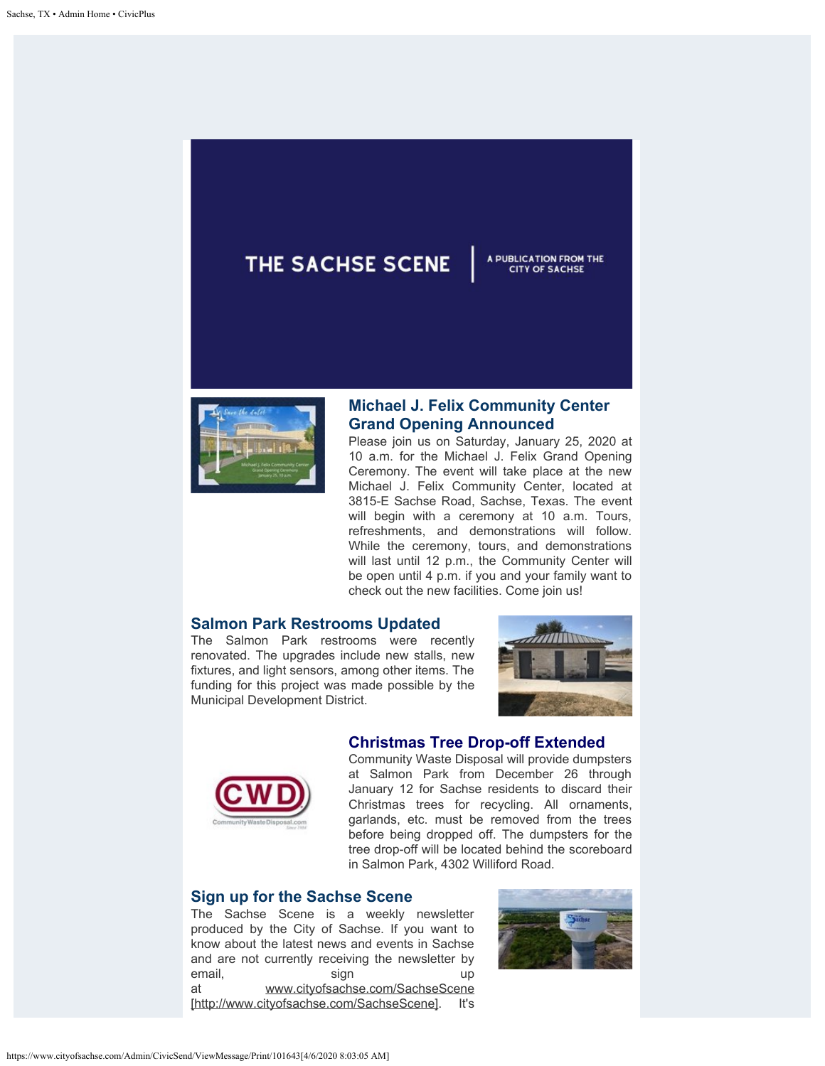# THE SACHSE SCENE



## **Michael J. Felix Community Center Grand Opening Announced**

Please join us on Saturday, January 25, 2020 at 10 a.m. for the Michael J. Felix Grand Opening Ceremony. The event will take place at the new Michael J. Felix Community Center, located at 3815-E Sachse Road, Sachse, Texas. The event will begin with a ceremony at 10 a.m. Tours, refreshments, and demonstrations will follow. While the ceremony, tours, and demonstrations will last until 12 p.m., the Community Center will be open until 4 p.m. if you and your family want to check out the new facilities. Come join us!

#### **Salmon Park Restrooms Updated**

The Salmon Park restrooms were recently renovated. The upgrades include new stalls, new fixtures, and light sensors, among other items. The funding for this project was made possible by the Municipal Development District.



A PUBLICATION FROM THE **CITY OF SACHSE** 

### **Christmas Tree Drop-off Extended**



Community Waste Disposal will provide dumpsters at Salmon Park from December 26 through January 12 for Sachse residents to discard their Christmas trees for recycling. All ornaments, garlands, etc. must be removed from the trees before being dropped off. The dumpsters for the tree drop-off will be located behind the scoreboard in Salmon Park, 4302 Williford Road.

#### **Sign up for the Sachse Scene**

The Sachse Scene is a weekly newsletter produced by the City of Sachse. If you want to know about the latest news and events in Sachse and are not currently receiving the newsletter by email, sign up at [www.cityofsachse.com/SachseScene](http://www.cityofsachse.com/SachseScene) [http://www.cityofsachse.com/SachseScene]. It's